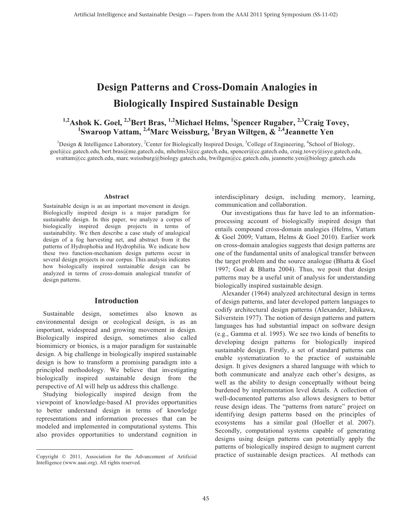## **Design Patterns and Cross-Domain Analogies in Biologically Inspired Sustainable Design**

# <sup>1,2</sup>Ashok K. Goel, <sup>2,3</sup>Bert Bras, <sup>1,2</sup>Michael Helms, <sup>1</sup>Spencer Rugaber, <sup>2,3</sup>Craig Tovey, <sup>1</sup>Swaroop Vattam, <sup>2,4</sup>Marc Weissburg, <sup>1</sup>Bryan Wiltgen, & <sup>2,4</sup>Jeannette Yen

<sup>1</sup>Design & Intelligence Laboratory, <sup>2</sup>Center for Biologically Inspired Design, <sup>3</sup>College of Engineering, <sup>4</sup>School of Biology, goel@cc.gatech.edu, bert.bras@me.gatech.edu, mhelms3@cc.gatech.edu, spencer@cc.gatech.edu, craig.tovey@isye.gatech.edu, svattam@cc.gatech.edu, marc.weissburg@biology.gatech.edu, bwiltgen@cc.gatech.edu, jeannette.yen@biology.gatech.edu

#### **Abstract**

Sustainable design is as an important movement in design. Biologically inspired design is a major paradigm for sustainable design. In this paper, we analyze a corpus of biologically inspired design projects in terms of sustainability. We then describe a case study of analogical design of a fog harvesting net, and abstract from it the patterns of Hydrophobia and Hydrophilia. We indicate how these two function-mechanism design patterns occur in several design projects in our corpus. This analysis indicates how biologically inspired sustainable design can be analyzed in terms of cross-domain analogical transfer of design patterns.

#### **Introduction**

 Sustainable design, sometimes also known as environmental design or ecological design, is as an important, widespread and growing movement in design. Biologically inspired design, sometimes also called biomimicry or bionics, is a major paradigm for sustainable design. A big challenge in biologically inspired sustainable design is how to transform a promising paradigm into a principled methodology. We believe that investigating biologically inspired sustainable design from the perspective of AI will help us address this challenge.

 Studying biologically inspired design from the viewpoint of knowledge-based AI provides opportunities to better understand design in terms of knowledge representations and information processes that can be modeled and implemented in computational systems. This also provides opportunities to understand cognition in

 $\overline{a}$ 

interdisciplinary design, including memory, learning, communication and collaboration.

 Our investigations thus far have led to an informationprocessing account of biologically inspired design that entails compound cross-domain analogies (Helms, Vattam & Goel 2009; Vattam, Helms & Goel 2010). Earlier work on cross-domain analogies suggests that design patterns are one of the fundamental units of analogical transfer between the target problem and the source analogue (Bhatta & Goel 1997; Goel & Bhatta 2004). Thus, we posit that design patterns may be a useful unit of analysis for understanding biologically inspired sustainable design.

 Alexander (1964) analyzed architectural design in terms of design patterns, and later developed pattern languages to codify architectural design patterns (Alexander, Ishikawa, Silverstein 1977). The notion of design patterns and pattern languages has had substantial impact on software design (e.g., Gamma et al. 1995). We see two kinds of benefits to developing design patterns for biologically inspired sustainable design. Firstly, a set of standard patterns can enable systematization to the practice of sustainable design. It gives designers a shared language with which to both communicate and analyze each other's designs, as well as the ability to design conceptually without being burdened by implementation level details. A collection of well-documented patterns also allows designers to better reuse design ideas. The "patterns from nature" project on identifying design patterns based on the principles of ecosystems has a similar goal (Hoeller et al. 2007). Secondly, computational systems capable of generating designs using design patterns can potentially apply the patterns of biologically inspired design to augment current practice of sustainable design practices. AI methods can

Copyright © 2011, Association for the Advancement of Artificial Intelligence (www.aaai.org). All rights reserved.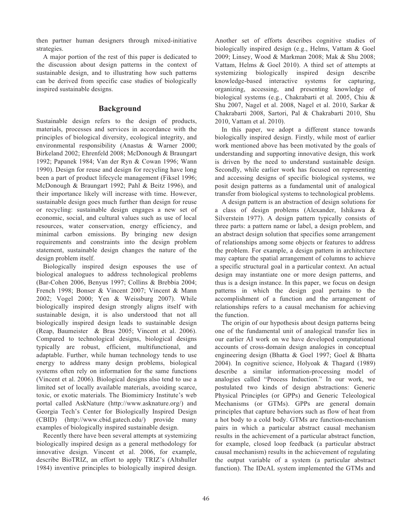then partner human designers through mixed-initiative strategies.

 A major portion of the rest of this paper is dedicated to the discussion about design patterns in the context of sustainable design, and to illustrating how such patterns can be derived from specific case studies of biologically inspired sustainable designs.

## **Background**

Sustainable design refers to the design of products, materials, processes and services in accordance with the principles of biological diversity, ecological integrity, and environmental responsibility (Anastas & Warner 2000; Birkeland 2002; Ehrenfeld 2008; McDonough & Braungart 1992; Papanek 1984; Van der Ryn & Cowan 1996; Wann 1990). Design for reuse and design for recycling have long been a part of product lifecycle management (Fiksel 1996; McDonough & Braungart 1992; Pahl & Beitz 1996), and their importance likely will increase with time. However, sustainable design goes much further than design for reuse or recycling: sustainable design engages a new set of economic, social, and cultural values such as use of local resources, water conservation, energy efficiency, and minimal carbon emissions. By bringing new design requirements and constraints into the design problem statement, sustainable design changes the nature of the design problem itself.

Biologically inspired design espouses the use of biological analogues to address technological problems (Bar-Cohen 2006, Benyus 1997; Collins & Brebbia 2004; French 1998; Bonser & Vincent 2007; Vincent & Mann 2002; Vogel 2000; Yen & Weissburg 2007). While biologically inspired design strongly aligns itself with sustainable design, it is also understood that not all biologically inspired design leads to sustainable design (Reap, Baumeister & Bras 2005; Vincent et al. 2006). Compared to technological designs, biological designs typically are robust, efficient, multifunctional, and adaptable. Further, while human technology tends to use energy to address many design problems, biological systems often rely on information for the same functions (Vincent et al. 2006). Biological designs also tend to use a limited set of locally available materials, avoiding scarce, toxic, or exotic materials. The Biomimicry Institute's web portal called AskNature (http://www.asknature.org/) and Georgia Tech's Center for Biologically Inspired Design (CBID) (http://www.cbid.gatech.edu/) provide many examples of biologically inspired sustainable design.

Recently there have been several attempts at systemizing biologically inspired design as a general methodology for innovative design. Vincent et al. 2006, for example, describe BioTRIZ, an effort to apply TRIZ's (Altshuller 1984) inventive principles to biologically inspired design.

Another set of efforts describes cognitive studies of biologically inspired design (e.g., Helms, Vattam & Goel 2009; Linsey, Wood & Markman 2008; Mak & Shu 2008; Vattam, Helms & Goel 2010). A third set of attempts at systemizing biologically inspired design describe knowledge-based interactive systems for capturing, organizing, accessing, and presenting knowledge of biological systems (e.g., Chakrabarti et al. 2005, Chiu & Shu 2007, Nagel et al. 2008, Nagel et al. 2010, Sarkar & Chakrabarti 2008, Sartori, Pal & Chakrabarti 2010, Shu 2010, Vattam et al. 2010).

 In this paper, we adopt a different stance towards biologically inspired design. Firstly, while most of earlier work mentioned above has been motivated by the goals of understanding and supporting innovative design, this work is driven by the need to understand sustainable design. Secondly, while earlier work has focused on representing and accessing designs of specific biological systems, we posit design patterns as a fundamental unit of analogical transfer from biological systems to technological problems.

 A design pattern is an abstraction of design solutions for a class of design problems (Alexander, Ishikawa & Silverstein 1977). A design pattern typically consists of three parts: a pattern name or label, a design problem, and an abstract design solution that specifies some arrangement of relationships among some objects or features to address the problem. For example, a design pattern in architecture may capture the spatial arrangement of columns to achieve a specific structural goal in a particular context. An actual design may instantiate one or more design patterns, and thus is a design instance. In this paper, we focus on design patterns in which the design goal pertains to the accomplishment of a function and the arrangement of relationships refers to a causal mechanism for achieving the function.

 The origin of our hypothesis about design patterns being one of the fundamental unit of analogical transfer lies in our earlier AI work on we have developed computational accounts of cross-domain design analogies in conceptual engineering design (Bhatta & Goel 1997; Goel & Bhatta 2004). In cognitive science, Holyoak & Thagard (1989) describe a similar information-processing model of analogies called "Process Induction." In our work, we postulated two kinds of design abstractions: Generic Physical Principles (or GPPs) and Generic Teleological Mechanisms (or GTMs). GPPs are general domain principles that capture behaviors such as flow of heat from a hot body to a cold body. GTMs are function-mechanism pairs in which a particular abstract causal mechanism results in the achievement of a particular abstract function, for example, closed loop feedback (a particular abstract causal mechanism) results in the achievement of regulating the output variable of a system (a particular abstract function). The IDeAL system implemented the GTMs and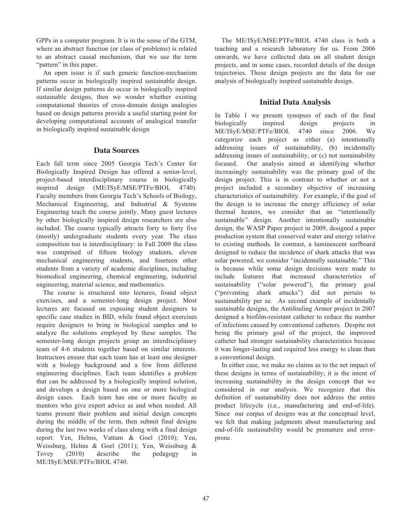GPPs in a computer program. It is in the sense of the GTM, where an abstract function (or class of problems) is related to an abstract causal mechanism, that we use the term "pattern" in this paper.

 An open issue is if such generic function-mechanism patterns occur in biologically inspired sustainable design. If similar design patterns do occur in biologically inspired sustainable designs, then we wonder whether existing computational theories of cross-domain design analogies based on design patterns provide a useful starting point for developing computational accounts of analogical transfer in biologically inspired sustainable design

## **Data Sources**

Each fall term since 2005 Georgia Tech's Center for Biologically Inspired Design has offered a senior-level, project-based interdisciplinary course in biologically inspired design (ME/ISyE/MSE/PTFe/BIOL 4740). Faculty members from Georgia Tech's Schools of Biology, Mechanical Engineering, and Industrial & Systems Engineering teach the course jointly. Many guest lectures by other biologically inspired design researchers are also included. The course typically attracts forty to forty five (mostly) undergraduate students every year. The class composition too is interdisciplinary: in Fall 2009 the class was comprised of fifteen biology students, eleven mechanical engineering students, and fourteen other students from a variety of academic disciplines, including biomedical engineering, chemical engineering, industrial engineering, material science, and mathematics.

 The course is structured into lectures, found object exercises, and a semester-long design project. Most lectures are focused on exposing student designers to specific case studies in BID, while found object exercises require designers to bring in biological samples and to analyze the solutions employed by these samples. The semester-long design projects group an interdisciplinary team of 4-6 students together based on similar interests. Instructors ensure that each team has at least one designer with a biology background and a few from different engineering disciplines. Each team identifies a problem that can be addressed by a biologically inspired solution, and develops a design based on one or more biological design cases. Each team has one or more faculty as mentors who give expert advice as and when needed. All teams present their problem and initial design concepts during the middle of the term, then submit final designs during the last two weeks of class along with a final design report. Yen, Helms, Vattam & Goel (2010); Yen, Weissburg, Helms & Goel (2011); Yen, Weissburg & Tovey (2010) describe the pedagogy in ME/ISyE/MSE/PTFe/BIOL 4740.

The ME/ISyE/MSE/PTFe/BIOL 4740 class is both a teaching and a research laboratory for us. From 2006 onwards, we have collected data on all student design projects, and in some cases, recorded details of the design trajectories. These design projects are the data for our analysis of biologically inspired sustainable design.

## **Initial Data Analysis**

In Table 1 we present synopses of each of the final biologically inspired design projects in ME/ISyE/MSE/PTFe/BIOL 4740 since 2006. We categorize each project as either (a) intentionally addressing issues of sustainability, (b) incidentally addressing issues of sustainability, or (c) not sustainability focused. Our analysis aimed at identifying whether increasingly sustainability was the primary goal of the design project. This is in contrast to whether or not a project included a secondary objective of increasing characteristics of sustainability. For example, if the goal of the design is to increase the energy efficiency of solar thermal heaters, we consider that an "intentionally sustainable" design. Another intentionally sustainable design, the WASP Paper project in 2009, designed a paper production system that conserved water and energy relative to existing methods. In contrast, a luminescent surfboard designed to reduce the incidence of shark attacks that was solar powered, we consider "incidentally sustainable." This is because while some design decisions were made to include features that increased characteristics of sustainability ("solar powered"), the primary goal ("preventing shark attacks") did not pertain to sustainability per se. As second example of incidentally sustainable designs, the Antifouling Armor project in 2007 designed a biofilm-resistant catheter to reduce the number of infections caused by conventional catheters. Despite not being the primary goal of the project, the improved catheter had stronger sustainability characteristics because it was longer-lasting and required less energy to clean than a conventional design.

 In either case, we make no claims as to the net impact of these designs in terms of sustainability; it is the intent of increasing sustainability in the design concept that we considered in our analysis. We recognize that this definition of sustainability does not address the entire product lifecycle (i.e., manufacturing and end-of-life). Since our corpus of designs was at the conceptual level, we felt that making judgments about manufacturing and end-of-life sustainability would be premature and errorprone.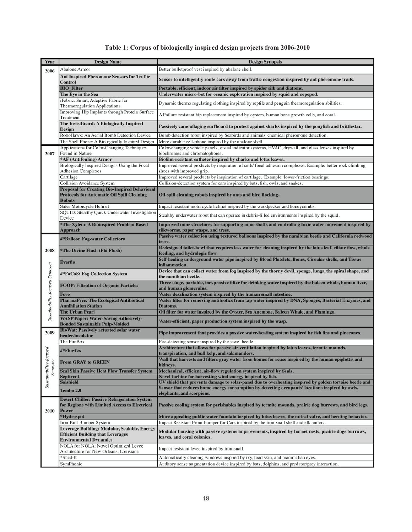## **Table 1: Corpus of biologically inspired design projects from 2006-2010**

| Year                                     | <b>Design Name</b>                                                                     | <b>Design Synopsis</b>                                                                                                                                                                                     |
|------------------------------------------|----------------------------------------------------------------------------------------|------------------------------------------------------------------------------------------------------------------------------------------------------------------------------------------------------------|
|                                          | Abalone Armor                                                                          | Better bulletproof vest inspired by abalone shell.                                                                                                                                                         |
| 2006<br>2007                             | <b>Ant Inspired Pheromone Sensors for Traffic</b>                                      |                                                                                                                                                                                                            |
|                                          | Control                                                                                | Sensor to intelligently route cars away from traffic congestion inspired by ant pheromone trails.                                                                                                          |
|                                          | <b>BIO_Filter</b>                                                                      | Portable, efficient, indoor air filter inspired by spider silk and diatoms.                                                                                                                                |
|                                          | The Eye in the Sea                                                                     | Underwater micro-bot for oceanic exploration inspired by squid and copepod.                                                                                                                                |
|                                          | iFabric: Smart, Adaptive Fabric for                                                    |                                                                                                                                                                                                            |
|                                          | Thermoregulation Applications                                                          | Dynamic thermo regulating clothing inspired by reptile and penguin thermoregulation abilities.                                                                                                             |
|                                          | Improving Hip Implants through Protein Surface                                         | A Failure-resistant hip replacement inspired by oysters, human bone growth cells, and coral.                                                                                                               |
|                                          | Treatment                                                                              |                                                                                                                                                                                                            |
|                                          | The InvisiBoard: A Biologically Inspired                                               | Passively camouflaging surfboard to protect against sharks inspired by the ponyfish and brittlestar.                                                                                                       |
|                                          | Design<br>RoboHawk: An Aerial Bomb Detection Device                                    | Bomb detection robot inspired by Seabirds and animals' chemical pheromone detection.                                                                                                                       |
|                                          | The Shell Phone: A Biologically Inspired Design                                        | More durable cell-phone inspired by the abalone shell.                                                                                                                                                     |
|                                          | Applications for Color-Changing Techniques                                             | Color-changing vehicle panels, visual indicator systems, HVAC, drywall, and glass lenses inspired by                                                                                                       |
|                                          | Found in Nature                                                                        | biochromes and chromatophores.                                                                                                                                                                             |
|                                          | *AF (Antifouling) Armor                                                                | Biofilm-resistant catheter inspired by sharks and lotus leaves.                                                                                                                                            |
|                                          | Biologically Inspired Designs Using the Focal                                          | Improved several products by inspiration of cells' focal adhesion complexes. Example: better rock climbing                                                                                                 |
|                                          | <b>Adhesion Complexes</b>                                                              | shoes with improved grip.                                                                                                                                                                                  |
|                                          | Cartilage                                                                              | Improved several products by inspiration of cartilage. Example: lower-friction bearings.                                                                                                                   |
|                                          | Collision Avoidance System                                                             | Collision-detection system for cars inspired by bats, fish, owls, and snakes.                                                                                                                              |
|                                          | <b>Proposal for Creating Bio-Inspired Behavioral</b>                                   |                                                                                                                                                                                                            |
|                                          | <b>Protocols for Automatic Oil Spill Cleaning</b>                                      | Oil-spill cleaning robots inspired by ants and bird flocking.                                                                                                                                              |
|                                          | <b>Robots</b>                                                                          |                                                                                                                                                                                                            |
|                                          | Safer Motorcycle Helmet                                                                | Impact resistant motorcycle helmet inspired by the woodpecker and honeycombs.                                                                                                                              |
|                                          | SQUID: Stealthy Quick Underwater Investigation                                         | Stealthy underwater robot that can operate in debris-filled environments inspired by the squid.                                                                                                            |
|                                          | Device                                                                                 |                                                                                                                                                                                                            |
|                                          | *The Xylem: A Bioinspired Problem Based<br>Approach                                    | Improved mine structures for supporting mine shafts and controlling toxic water movement inspired by<br>silkworms, paper wasps, and trees.                                                                 |
|                                          |                                                                                        | Passive water collection using textured balloons inspired by the namibian beetle and California redwood                                                                                                    |
|                                          | #*Balloon Fog-water Collectors                                                         | trees.                                                                                                                                                                                                     |
| 2008                                     |                                                                                        | Redesigned toilet-bowl that requires less water for cleaning inspired by the lotus leaf, ciliate flow, whale                                                                                               |
|                                          | *The Divine Flush (Phi Flush)                                                          | feeding, and hydrologic flow.                                                                                                                                                                              |
| Sustainability-focused Semester          | Everflo                                                                                | Self-healing underground water pipe inspired by Blood Platelets, Bones, Circular shells, and Tissue                                                                                                        |
|                                          |                                                                                        | inflammation.                                                                                                                                                                                              |
|                                          | #*FoCoS: Fog Collection System                                                         | Device that can collect water from fog inspired by the thorny devil, sponge, lungs, the spiral shape, and<br>the namibian beetle.                                                                          |
|                                          |                                                                                        | Three-stage, portable, inexpensive filter for drinking water inspired by the baleen whale, human liver,                                                                                                    |
|                                          | <b>FOOP: Filtration of Organic Particles</b>                                           | and human glomerulus.                                                                                                                                                                                      |
|                                          | Foro                                                                                   | Water desalination system inspired by the human small intestine.                                                                                                                                           |
|                                          | <b>PharmaFree: The Ecological Antibiotical</b>                                         | Water filter for removing antibiotics from tap water inspired by DNA, Sponges, Bacterial Enzymes, and                                                                                                      |
|                                          | <b>Annihilation Station</b>                                                            | Diatoms.                                                                                                                                                                                                   |
|                                          | <b>The Urban Pearl</b>                                                                 | Oil filter for water inspired by the Oyster, Sea Anemone, Baleen Whale, and Flamingo.                                                                                                                      |
|                                          | <b>WASP Paper: Water-Saving Adhesively-</b>                                            | Water-efficient, paper production system inspired by the wasp.                                                                                                                                             |
|                                          | <b>Bonded Sustainable Pulp-Molded</b><br><b>BioWat: Passively actuated solar water</b> |                                                                                                                                                                                                            |
| 2009                                     | heater/insulator                                                                       | Pipe improvement that provides a passive water-heating system inspired by fish fins and pinecones.                                                                                                         |
| ocused<br>$Susianability-fc$<br>Semester | The FireBox                                                                            | Fire-detecting sensor inspired by the jewel beetle.                                                                                                                                                        |
|                                          |                                                                                        | Architecture that allows for passive air ventilation inspired by lotus leaves, termite mounds,                                                                                                             |
|                                          | #*Flowfex                                                                              | transpiration, and bull kelp, and salamanders.                                                                                                                                                             |
|                                          | <b>From GRAY to GREEN</b>                                                              | Wall that harvests and filters gray water from homes for reuse inspired by the human epiglottis and                                                                                                        |
|                                          |                                                                                        | kidneys.                                                                                                                                                                                                   |
|                                          | <b>Seal Skin Passive Heat Flow Transfer System</b>                                     | Mechanical, efficient, air-flow regulation system inspired by Seals.                                                                                                                                       |
|                                          | Septivent                                                                              | Novel turbine for harvesting wind energy inspired by fish.                                                                                                                                                 |
|                                          | Solshield                                                                              | UV shield that prevents damage to solar-panel due to overheating inspired by golden tortoise beetle and<br>Sensor that reduces home energy consumption by detecting occupants' locations inspired by owls, |
|                                          | Tembo 2.0                                                                              | elephants, and scorpions.                                                                                                                                                                                  |
|                                          | <b>Desert Chiller: Passive Refrigeration System</b>                                    |                                                                                                                                                                                                            |
|                                          | for Regions with Limited Access to Electrical                                          | Passive cooling system for perishables inspired by termite mounds, prairie dog burrows, and bird legs.                                                                                                     |
| 2010                                     | <b>Power</b>                                                                           |                                                                                                                                                                                                            |
|                                          | *Hydrospot                                                                             | More appealing public water fountain inspired by lotus leaves, the mitral valve, and herding behavior.                                                                                                     |
|                                          | Iron-Bull Bumper System                                                                | Impact Resistant Front-bumper for Cars inspired by the iron-snail shell and elk antlers.                                                                                                                   |
|                                          | Leverage Building: Modular, Scalable, Energy                                           | Modular housing with passive systems improvements, inspired by hornet nests, prairie dogs burrows,                                                                                                         |
|                                          | <b>Efficient Building that Leverages</b>                                               | leaves, and coral colonies.                                                                                                                                                                                |
|                                          | <b>Environmental Dynamics</b><br>NOLA for NOLA: Novel Optimized Levee                  |                                                                                                                                                                                                            |
|                                          | Architecture for New Orleans, Louisiana                                                | Impact resistant levee inspired by iron-snail.                                                                                                                                                             |
|                                          | *Shed-It                                                                               | Automatically cleaning windows inspired by ivy, toad skin, and mammalian eyes.                                                                                                                             |
|                                          | SymPhonic                                                                              | Auditory sense augmentation device inspired by bats, dolphins, and predator/prey interaction.                                                                                                              |
|                                          |                                                                                        |                                                                                                                                                                                                            |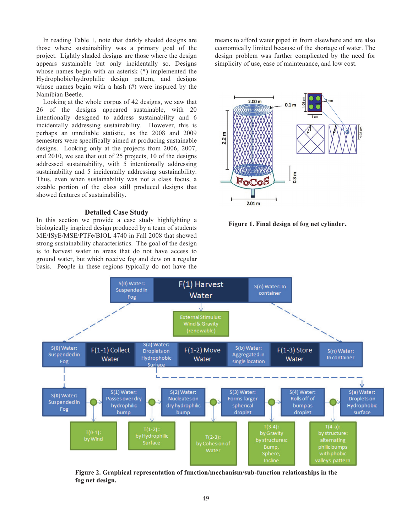In reading Table 1, note that darkly shaded designs are those where sustainability was a primary goal of the project. Lightly shaded designs are those where the design appears sustainable but only incidentally so. Designs whose names begin with an asterisk (\*) implemented the Hydrophobic/hydrophilic design pattern, and designs whose names begin with a hash (#) were inspired by the Namibian Beetle.

Looking at the whole corpus of 42 designs, we saw that 26 of the designs appeared sustainable, with 20 intentionally designed to address sustainability and 6 incidentally addressing sustainability. However, this is perhaps an unreliable statistic, as the 2008 and 2009 semesters were specifically aimed at producing sustainable designs. Looking only at the projects from 2006, 2007, and 2010, we see that out of 25 projects, 10 of the designs addressed sustainability, with 5 intentionally addressing sustainability and 5 incidentally addressing sustainability. Thus, even when sustainability was not a class focus, a sizable portion of the class still produced designs that showed features of sustainability.

#### **Detailed Case Study**

In this section we provide a case study highlighting a biologically inspired design produced by a team of students ME/ISyE/MSE/PTFe/BIOL 4740 in Fall 2008 that showed strong sustainability characteristics. The goal of the design is to harvest water in areas that do not have access to ground water, but which receive fog and dew on a regular basis. People in these regions typically do not have the

means to afford water piped in from elsewhere and are also economically limited because of the shortage of water. The design problem was further complicated by the need for simplicity of use, ease of maintenance, and low cost.



**Figure 1. Final design of fog net cylinder.** 



**Figure 2. Graphical representation of function/mechanism/sub-function relationships in the fog net design.**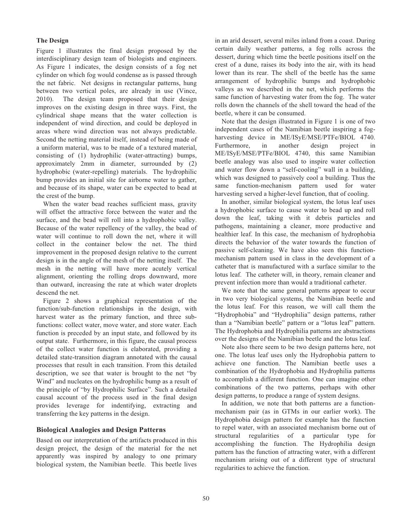### **The Design**

Figure 1 illustrates the final design proposed by the interdisciplinary design team of biologists and engineers. As Figure 1 indicates, the design consists of a fog net cylinder on which fog would condense as is passed through the net fabric. Net designs in rectangular patterns, hung between two vertical poles, are already in use (Vince, 2010). The design team proposed that their design improves on the existing design in three ways. First, the cylindrical shape means that the water collection is independent of wind direction, and could be deployed in areas where wind direction was not always predictable. Second the netting material itself, instead of being made of a uniform material, was to be made of a textured material, consisting of (1) hydrophilic (water-attracting) bumps, approximately 2mm in diameter, surrounded by (2) hydrophobic (water-repelling) materials. The hydrophilic bump provides an initial site for airborne water to gather, and because of its shape, water can be expected to bead at the crest of the bump.

When the water bead reaches sufficient mass, gravity will offset the attractive force between the water and the surface, and the bead will roll into a hydrophobic valley. Because of the water repellency of the valley, the bead of water will continue to roll down the net, where it will collect in the container below the net. The third improvement in the proposed design relative to the current design is in the angle of the mesh of the netting itself. The mesh in the netting will have more acutely vertical alignment, orienting the rolling drops downward, more than outward, increasing the rate at which water droplets descend the net.

Figure 2 shows a graphical representation of the function/sub-function relationships in the design, with harvest water as the primary function, and three subfunctions: collect water, move water, and store water. Each function is preceded by an input state, and followed by its output state. Furthermore, in this figure, the causal process of the collect water function is elaborated, providing a detailed state-transition diagram annotated with the causal processes that result in each transition. From this detailed description, we see that water is brought to the net "by Wind" and nucleates on the hydrophilic bump as a result of the principle of "by Hydrophilic Surface". Such a detailed causal account of the process used in the final design provides leverage for indentifying, extracting and transferring the key patterns in the design.

## **Biological Analogies and Design Patterns**

Based on our interpretation of the artifacts produced in this design project, the design of the material for the net apparently was inspired by analogy to one primary biological system, the Namibian beetle. This beetle lives

in an arid dessert, several miles inland from a coast. During certain daily weather patterns, a fog rolls across the dessert, during which time the beetle positions itself on the crest of a dune, raises its body into the air, with its head lower than its rear. The shell of the beetle has the same arrangement of hydrophilic bumps and hydrophobic valleys as we described in the net, which performs the same function of harvesting water from the fog. The water rolls down the channels of the shell toward the head of the beetle, where it can be consumed.

Note that the design illustrated in Figure 1 is one of two independent cases of the Namibian beetle inspiring a fogharvesting device in ME/ISyE/MSE/PTFe/BIOL 4740. Furthermore, in another design project in ME/ISyE/MSE/PTFe/BIOL 4740, this same Namibian beetle analogy was also used to inspire water collection and water flow down a "self-cooling" wall in a building, which was designed to passively cool a building. Thus the same function-mechanism pattern used for water harvesting served a higher-level function, that of cooling.

In another, similar biological system, the lotus leaf uses a hydrophobic surface to cause water to bead up and roll down the leaf, taking with it debris particles and pathogens, maintaining a cleaner, more productive and healthier leaf. In this case, the mechanism of hydrophobia directs the behavior of the water towards the function of passive self-cleaning. We have also seen this functionmechanism pattern used in class in the development of a catheter that is manufactured with a surface similar to the lotus leaf. The catheter will, in theory, remain cleaner and prevent infection more than would a traditional catheter.

We note that the same general patterns appear to occur in two very biological systems, the Namibian beetle and the lotus leaf. For this reason, we will call them the "Hydrophobia" and "Hydrophilia" design patterns, rather than a "Namibian beetle" pattern or a "lotus leaf" pattern. The Hydrophobia and Hydrophilia patterns are abstractions over the designs of the Namibian beetle and the lotus leaf.

Note also there seem to be two design patterns here, not one. The lotus leaf uses only the Hydrophobia pattern to achieve one function. The Namibian beetle uses a combination of the Hydrophobia and Hydrophilia patterns to accomplish a different function. One can imagine other combinations of the two patterns, perhaps with other design patterns, to produce a range of system designs.

 In addition, we note that both patterns are a functionmechanism pair (as in GTMs in our earlier work). The Hydrophobia design pattern for example has the function to repel water, with an associated mechanism borne out of structural regularities of a particular type for accomplishing the function. The Hydrophilia design pattern has the function of attracting water, with a different mechanism arising out of a different type of structural regularities to achieve the function.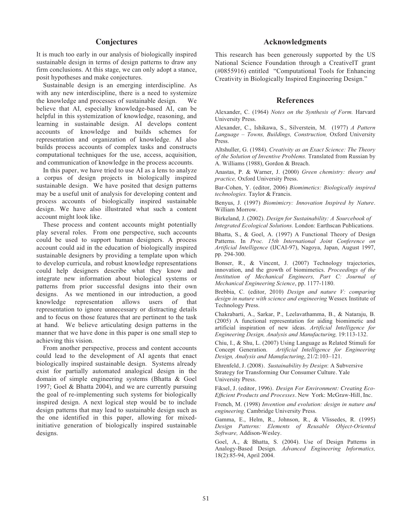## **Conjectures**

It is much too early in our analysis of biologically inspired sustainable design in terms of design patterns to draw any firm conclusions. At this stage, we can only adopt a stance, posit hypotheses and make conjectures.

 Sustainable design is an emerging interdiscipline. As with any new interdiscipline, there is a need to systemize the knowledge and processes of sustainable design. We believe that AI, especially knowledge-based AI, can be helpful in this systemization of knowledge, reasoning, and learning in sustainable design. AI develops content accounts of knowledge and builds schemes for representation and organization of knowledge. AI also builds process accounts of complex tasks and constructs computational techniques for the use, access, acquisition, and communication of knowledge in the process accounts.

In this paper, we have tried to use AI as a lens to analyze a corpus of design projects in biologically inspired sustainable design. We have posited that design patterns may be a useful unit of analysis for developing content and process accounts of biologically inspired sustainable design. We have also illustrated what such a content account might look like.

 These process and content accounts might potentially play several roles. From one perspective, such accounts could be used to support human designers. A process account could aid in the education of biologically inspired sustainable designers by providing a template upon which to develop curricula, and robust knowledge representations could help designers describe what they know and integrate new information about biological systems or patterns from prior successful designs into their own designs. As we mentioned in our introduction, a good knowledge representation allows users of that representation to ignore unnecessary or distracting details and to focus on those features that are pertinent to the task at hand. We believe articulating design patterns in the manner that we have done in this paper is one small step to achieving this vision.

 From another perspective, process and content accounts could lead to the development of AI agents that enact biologically inspired sustainable design. Systems already exist for partially automated analogical design in the domain of simple engineering systems (Bhatta & Goel 1997; Goel & Bhatta 2004), and we are currently pursuing the goal of re-implementing such systems for biologically inspired design. A next logical step would be to include design patterns that may lead to sustainable design such as the one identified in this paper, allowing for mixedinitiative generation of biologically inspired sustainable designs.

## **Acknowledgments**

This research has been generously supported by the US National Science Foundation through a CreativeIT grant (#0855916) entitled "Computational Tools for Enhancing Creativity in Biologically Inspired Engineering Design."

## **References**

Alexander, C. (1964) *Notes on the Synthesis of Form.* Harvard University Press.

Alexander, C., Ishikawa, S., Silverstein, M. (1977) *A Pattern Language – Towns, Buildings, Construction,* Oxford University Press.

Altshuller, G. (1984). *Creativity as an Exact Science: The Theory of the Solution of Inventive Problems.* Translated from Russian by A. Williams (1988), Gordon & Breach.

Anastas, P. & Warner, J. (2000) *Green chemistry: theory and practice,* Oxford University Press.

Bar-Cohen, Y. (editor, 2006) *Biomimetics: Biologically inspired technologies.* Taylor & Francis.

Benyus, J. (1997) *Biomimicry: Innovation Inspired by Nature*. William Morrow.

Birkeland, J. (2002). *Design for Sustainability: A Sourcebook of Integrated Ecological Solutions.* London: Earthscan Publications.

Bhatta, S., & Goel, A. (1997) A Functional Theory of Design Patterns. In *Proc. 15th International Joint Conference on Artificial Intelligence* (IJCAI-97), Nagoya, Japan, August 1997, pp. 294-300.

Bonser, R., & Vincent, J. (2007) Technology trajectories, innovation, and the growth of biomimetics. *Proceedings of the Institution of Mechanical Engineers, Part C: Journal of Mechanical Engineering Science*, pp. 1177-1180.

Brebbia, C. (editor, 2010) *Design and nature V: comparing design in nature with science and engineering* Wessex Institute of Technology Press.

Chakrabarti, A., Sarkar, P., Leelavathamma, B., & Nataraju, B. (2005) A functional representation for aiding biomimetic and artificial inspiration of new ideas. *Artificial Intelligence for Engineering Design, Analysis and Manufacturing,* 19:113-132.

Chiu, I., & Shu, L. (2007) Using Language as Related Stimuli for Concept Generation. *Artificial Intelligence for Engineering Design, Analysis and Manufacturing*, 21/2:103–121.

Ehrenfeld, J. (2008). *Sustainability by Design*: A Subversive Strategy for Transforming Our Consumer Culture. Yale University Press.

Fiksel, J. (editor, 1996). *Design For Environment: Creating Eco-Efficient Products and Processes*. New York: McGraw-Hill, Inc.

French, M. (1998) *Invention and evolution: design in nature and engineering.* Cambridge University Press.

Gamma, E., Helm, R., Johnson, R., & Vlissedes, R. (1995) *Design Patterns: Elements of Reusable Object-Oriented Software,* Addison-Wesley.

Goel, A., & Bhatta, S. (2004). Use of Design Patterns in Analogy-Based Design. *Advanced Engineering Informatics,*  18(2):85-94, April 2004.